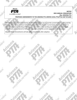

#### **NOTICE** 2022 ANNUAL CONVENTION Dba: ARIZONA PTA PROPOSED AMENDMENTS TO THE ARIZONA PTA UNIFIED LOCAL PTA/PTSA UNIT BYLAWS

The following proposed amendments are formatted to allow you to see the current bylaw wording and the wording of the bylaw provision if the bylaw amendment is adopted. Current bylaw wording is written in italics. Proposed new wording or changes are not in italics. New wording and changes are done in **bold**. Amendments are numbered to follow the sequence within the current approved bylaw document.

Adopted Bylaw Amendments will take effect immediately after adoption.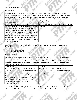# PROPOSED AMENDMENT 1:

#### ARTICLE III: PRINCIPLES

| To Amend ARTICLE III: PRINCIPLES: by striking out subsection e. The association shall not enter into    |                                                        |  |
|---------------------------------------------------------------------------------------------------------|--------------------------------------------------------|--|
| membership with other associations except such international or national associations as may            |                                                        |  |
| by the National PTA Board of Directors. The Arizona PTA or any of its Local PTA/PTSA units and PTA/PTSA |                                                        |  |
| ouncils may cooperate with other associations and agencies concerned with child welfare, but a PTA:     |                                                        |  |
| <u>representative shall make no commitments on behalf of the group they represent.</u>                  |                                                        |  |
| <b>Current Wording</b>                                                                                  | If adopted                                             |  |
| ARTICLE III: PRINCIPLES, subsection e.                                                                  | ARTICLE III: PRINCIPLES, subsection e. will be removed |  |
| The association shall not enter into membership with                                                    | removed                                                |  |
| other associations except such international or                                                         |                                                        |  |
| national associations as may be approved by the                                                         |                                                        |  |
| National PTA Board of Directors. The Arizona PTA or                                                     |                                                        |  |
| any of its Local PTA/PTSA units and PTA/PTSA                                                            |                                                        |  |
| Councils may cooperate with other associations and                                                      |                                                        |  |
| agencies concerned with child welfare, but a PTA                                                        |                                                        |  |
| representative shall make no commitments on behalf                                                      |                                                        |  |
| of the group they represent.                                                                            |                                                        |  |

**Montes** 

Rationale: This subsection is not included in the Arizona PTA Bylaws nor the National PTA Bylaws under PRINCIPLES, so the amendment removes it for consistency.

## PROPOSED AMENDMENT 2:

ARTICLE III: PRINCIPLES

To Amend ARTICLE IV: CONSTITUENT ASSOCIATIONS (LOCAL PTA/PTSA UNITS AND PTA/PTSA COUNCILS) by striking out Section 5. Each constituent association shall adopt bylaws for the governance of the association. Such bylaws shall not be in conflict with National PTA or Arizona PTA bylaws. Such bylaws shall include an article on amendments and shall include a provision establishing a quorum.; and to renumber

| subsequent sections 6, 7 and 8                       |                                                  |
|------------------------------------------------------|--------------------------------------------------|
| Current Wording                                      | If adopted                                       |
| ARTICLE IV: CONSTITUENT ASSOCIATIONS (LOCAL          | ARTICLE IV: CONSTITUENT ASSOCIATIONS (LOCAL      |
| PTA/PTSA UNITS AND PTA/PTSA COUNCILS) Section        | PTA/PTSA UNITS AND PTA/PTSA COUNCILS) Section 5. |
| ר.                                                   | will be removed                                  |
| Each constituent association shall adopt bylaws for  | removed                                          |
| the governance of the association. Such bylaws shall |                                                  |
| not be in conflict with National PTA or Arizona PTA  |                                                  |
| bylaws. Such bylaws shall include an article on      |                                                  |
| amendments and shall include a provision             |                                                  |
| establishing a quorum.                               |                                                  |

Rationale: Arizona PTA local PTA/PTSA units use a standardized set of bylaws the "Arizona PTA Unified Local PTA/PTSA Unit Bylaws" and no longer compose their own set of bylaws with amendments or quorum.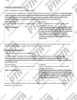# PROPOSED AMENDMENT 3:

#### Article V: ARIZONA PTA, Section 8. DISSOLUTION

To Amend Article V: ARIZONA PTA, Section 8. DISSOLUTION by inserting a new subsection f. Upon dissolution and/or revocation of the charter of the local PTA/PTSA unit the local PTA/PTSA unit is to cease and desist from the further use of any name that implies or connotes association with the National PTA or the Arizona PTA or status as a constituent association of the National PTA or the Arizona PTA.

| <b>Current Wording</b><br>Article V: ARIZONA PTA, Section 8. DISSOLUTION | If adopted<br>Article V: ARIZONA PTA, Section 8. DISSOLUTION<br>subsection f. will read:                                                                                                                                                                                                                                                       |
|--------------------------------------------------------------------------|------------------------------------------------------------------------------------------------------------------------------------------------------------------------------------------------------------------------------------------------------------------------------------------------------------------------------------------------|
| None - new addition                                                      | f. Upon dissolution and/or revocation of the charter<br>of the local PTA/PTSA unit the local PTA/PTSA unit is<br>to cease and desist from the further use of any name<br>that implies or connotes association with the<br>National PTA or the Arizona PTA or status as a<br>constituent association of the National PTA or the<br>Arizona PTA. |

Rationale: This amendment clarifies that any local PTA/PTSA that has been dissolved may no longer use the PTA/PTSA designation nor may they claim to be part of the PTA organization.

## PROPOSED AMENDMENT 4:

Article V: ARIZONA PTA, Section 8. DISSOLUTION

To Amend Article V: ARIZONA PTA, Section 8. DISSOLUTION by inserting a new subsection g. Upon dissolution and/or revocation of the charter of the local PTA/PTSA unit the local PTA/PTSA unit is to surrender all its books and records, all its assets and property to the Arizona PTA or an agency designated by the Arizona PTA.

| <b>Current Wording</b>                         | If adopted                                                                                                                                                                                                                                                |
|------------------------------------------------|-----------------------------------------------------------------------------------------------------------------------------------------------------------------------------------------------------------------------------------------------------------|
| Article V: ARIZONA PTA, Section 8. DISSOLUTION | Article V: ARIZONA PTA, Section 8. DISSOLUTION,                                                                                                                                                                                                           |
|                                                | subsection <b>g</b> . will read:                                                                                                                                                                                                                          |
| None - new addition                            | g. Upon dissolution and/or revocation of the charter<br>of the local PTA/PTSA unit the local PTA/PTSA unit is<br>to surrender all its books and records, all its assets<br>and property to the Arizona PTA or an agency<br>designated by the Arizona PTA. |

Rationale: This amendment further clarifies Arizona PTA's role when a local PTA/PTSA has gone through dissolution and or revocation.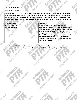#### PROPOSED AMENDMENT 5:

#### Article V: ARIZONA PTA

To Amend Article V: ARIZONA PTA, by inserting a new Section 12. Section 12: If this local PTA/PTSA unit is required by their local school district or other government entity to obtain individual local PTA/PTSA unit incorporation, the local PTA/PTSA unit shall notify Arizona PTA and obtain guidance from Arizona PTA on incorporation. Local PTA/PTSA units may be charged a fee by Arizona PTA for any incorporation filing and or renewal. 51

ido one viol

**Draw**son

| <b>Current Wording</b> | If adopted                                                                                                                                                                                                                                                                                                                                                                                               |
|------------------------|----------------------------------------------------------------------------------------------------------------------------------------------------------------------------------------------------------------------------------------------------------------------------------------------------------------------------------------------------------------------------------------------------------|
| Article V: ARIZONA PTA | Article V: ARIZONA PTA, Section 12. will read:                                                                                                                                                                                                                                                                                                                                                           |
| None - new addition    | Section 12: If this local PTA/PTSA unit is required by<br>their local school district or other government entity<br>to obtain individual local PTA/PTSA unit<br>incorporation, the local PTA/PTSA unit shall notify<br>Arizona PTA and obtain guidance from Arizona PTA<br>on incorporation. Local PTA/PTSA units may be<br>charged a fee by Arizona PTA for any incorporation<br>filing and or renewal. |

Rationale: Local PTA/PTSA units in Arizona have recently been asked to become incorporated and this amendment clarifies Arizona PTA's role as well as the local PTA/PTSA's role regarding local PTA/PTSA unit<br>incorporation.<br>And the local PTA/PTSA's role regarding local PTA/PTSA unit incorporation.

**Algebra 40** 

**DOOR** 

**DEAMEROK** 

**1965**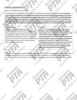#### PROPOSED AMENDMENT 6:

Article VI: STANDING RULES, Section 3.

To Amend Article VI: STANDING RULES, Section 3. by striking the current wording and inserting Annually, a copy of the local PTA/PTSA unit Standing Rules shall be sent to Arizona PTA accompanied by a copy of the official meeting minutes indicating general membership approval. The local PTA/PTSA unit Standing Rules are subject to review and approval according to the procedures of Arizona PTA. The local PTA/PTSA unit Standing Rules shall remain on file with Arizona PTA until any adopted amendments or updates have been sent with a copy of the meeting minutes indicating the adoption of the new rule(s) by the local PTA/PTSA unit.

| <b>Current Wording</b>                               | If adopted                                                 |
|------------------------------------------------------|------------------------------------------------------------|
| Article VI: STANDING RULES, Section 3.               | Article VI: STANDING RULES, Section 3. will read:          |
| A copy of this local PTA/PTSA unit's Standing Rules  | Annually, a copy of the local PTA/PTSA unit Standing       |
| shall be sent to the Arizona PTA office accompanied  | Rules shall be sent to Arizona PTA accompanied by a copy   |
| by a copy of the official meeting minutes expressing | of the official meeting minutes indicating general         |
| general membership approval to be reviewed and       | membership approval. The local PTA/PTSA unit Standing      |
| approved according to the procedures of Arizona PTA  | Rules are subject to review and approval according to the  |
| and will remain on file until the next amendment     | procedures of Arizona PTA. The local PTA/PTSA unit         |
| when an update shall be sent.                        | Standing Rules shall remain on file with Arizona PTA until |
|                                                      | any adopted amendments or updates have been sent           |
|                                                      | with a copy of the meeting minutes indicating adoption     |

Rationale: This amendment clarifies language regarding local PTA/PTSA unit Standing Rules and confirms the requirement that local PTA/PTSA units send Arizona PTA a copy of their local PTA/PTSA unit Standing Rules annually and a revised copy of their local PTA/PTSA Standing Rules when amendments or updates are made to them.

of the new rule(s) by the local PTA/PTSA unit.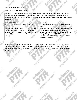#### PROPOSED AMENDMENT 7.

ARTICLE VII: MEMBERS AND DUES, Section 10.

Sild one vote

**1965** 

To amend ARTICLE VII: MEMBERS AND DUES, Section 10. By striking membership, in order to qualify for voting privileges at local PTA/PTSA unit elections and inserting the words members' dues and required information to Arizona PTA in order for the members to qualify for voting privileges at local PTA/PTSA unit elections

**OTEL** ON

**Branch**on

| <b>Current Wording</b>                                  | If adopted                                              |
|---------------------------------------------------------|---------------------------------------------------------|
| ARTICLE VII: MEMBERS AND DUES, Section 10.              | ARTICLE VII: MEMBERS AND DUES, Section 10. will         |
|                                                         | read:                                                   |
| The final deadline for receipt of a local PTA/PTSA unit | The final deadline for receipt of a local PTA/PTSA unit |
| membership, in order to qualify for voting privileges   | members' dues and required information to               |
| at local PTA/PTSA unit elections and at the annual      | Arizona PTA in order for the member to qualify for      |
| Arizona PTA convention, shall be March 1 of each        | voting privileges at local PTA/PTSA unit elections      |
| year.                                                   | and at the annual Arizona PTA convention shall be       |
|                                                         | March 1 of each year.                                   |
|                                                         |                                                         |

Rationale: This amendment confirms that the members' required information such as their name, etc. must be submitted to Arizona PTA to ensure that proper credentialing can be completed for local PTA/PTSA unit elections and for voting delegate status per requirements of the Arizona PTA Convention and National PTA<br>Convention.<br>And the Arizona PTA Convention and National PTA<br>Convention and National PTA Convention.

**Malgune Viole**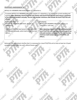#### PROPOSED AMENDMENT 8.

Storene.

**1968** 

Children and Trick

ARTICLE VII: MEMBERS AND DUES, Section 13. subsection a.

To amend ARTICLE VII: MEMBERS AND DUES, Section 13. subsection a. by striking the current wording and inserting After obtaining a local PTA/PTSA unit Charter each local PTA/PTSA unit must secure a minimum of ten (10) paid members annually. The ten (10) member minimum shall include the local PTA/PTSA unit officers. 61,

**De one Side** 

City of one stores

Stock over

| <b>Current Wording</b>                              | If adopted                                         |
|-----------------------------------------------------|----------------------------------------------------|
| ARTICLE VII: MEMBERS AND DUES, Section 13.          | ARTICLE VII: MEMBERS AND DUES, Section 13.         |
| subsection a.                                       | subsection a. will read:                           |
|                                                     |                                                    |
| Each local PTA/PTSA must secure a minimum of ten    | After obtaining a local PTA/PTSA unit Charter each |
| (10) members annually, which shall include the Unit | local PTA/PTSA unit must secure a minimum of ten   |
| Officers.                                           | (10) paid members annually. The ten (10) member    |
|                                                     | minimum shall include the local PTA/PTSA unit      |
|                                                     | officers.                                          |
|                                                     |                                                    |

Rationale: This amendment clarifies that it is necessary for a local PTA/PTSA unit to have at least ten 10 paid members annually after the unit's official Charter year.

**Bronz** 

Childrene Side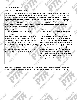#### PROPOSED AMENDMENT 9.

ARTICLE VII: MEMBERS AND DUES, Section 14.

To amend ARTICLE VII: MEMBERS AND DUES, Section 14. by striking the current wording and inserting the words An Arizona PTA Lifetime Achievement Award may be awarded to any person subscribing to the purposes, principles, and mission of the Arizona PTA. The Arizona PTA Lifetime Achievement Award is solely honorary and does not entitle the holder to make motions, vote, or hold office. An Arizona PTA Lifetime Achievement Award recipient may become an active PTA member upon payment of all-inclusive dues in a local unit PTA/PTSA unit. Funds received from Arizona PTA Lifetime Achievement Awards shall be placed in a fund designated by the Arizona PTA Board of Managers and may be used to further the purposes, principles, and mission of the Arizona PTA.

| <b>Current Wording</b>                                                                                                                                                                                                                                                                                                                                                                                                                                                                                                                            | If adopted                                                                                                                                                                                                                                                                                                                                                                                                                                                                                                                                                                                                                                                                                                    |
|---------------------------------------------------------------------------------------------------------------------------------------------------------------------------------------------------------------------------------------------------------------------------------------------------------------------------------------------------------------------------------------------------------------------------------------------------------------------------------------------------------------------------------------------------|---------------------------------------------------------------------------------------------------------------------------------------------------------------------------------------------------------------------------------------------------------------------------------------------------------------------------------------------------------------------------------------------------------------------------------------------------------------------------------------------------------------------------------------------------------------------------------------------------------------------------------------------------------------------------------------------------------------|
| ARTICLE VII: MEMBERS AND DUES, Section 14.                                                                                                                                                                                                                                                                                                                                                                                                                                                                                                        | ARTICLE VII: MEMBERS AND DUES, Section 14. will                                                                                                                                                                                                                                                                                                                                                                                                                                                                                                                                                                                                                                                               |
|                                                                                                                                                                                                                                                                                                                                                                                                                                                                                                                                                   | read:                                                                                                                                                                                                                                                                                                                                                                                                                                                                                                                                                                                                                                                                                                         |
| An Arizona PTA Lifetime Achievement Award may be<br>awarded to any person subscribing to the purposes,<br>principles and mission of the Arizona PTA. The life<br>membership is solely honorary and does not entitle<br>the holder to make motions, vote, or hold office. A<br>Lifetime Achievement recipient may become an active<br>member upon payment of all-inclusive dues in a local<br>unit PTA/PTSA. Funds received from Lifetime<br>Achievement awards shall be placed in the Arizona<br>PTA scholarship fund or another designated fund. | An Arizona PTA Lifetime Achievement Award may<br>be awarded to any person subscribing to the<br>purposes, principles, and mission of the Arizona<br>PTA. The Arizona PTA Lifetime Achievement Award<br>is solely honorary and does not entitle the holder to<br>make motions, vote, or hold office. An Arizona PTA<br>Lifetime Achievement Award recipient may become<br>an active PTA member upon payment of all-<br>inclusive dues in a local unit PTA/PTSA unit. Funds<br>received from Arizona PTA Lifetime Achievement<br>Awards shall be placed in a fund designated by the<br>Arizona PTA Board of Managers and may be used to<br>further the purposes, principles, and mission of the<br>Arizona PTA. |
|                                                                                                                                                                                                                                                                                                                                                                                                                                                                                                                                                   |                                                                                                                                                                                                                                                                                                                                                                                                                                                                                                                                                                                                                                                                                                               |

Rationale: The amendment clarifies the correct title for the award and allows the association to place the funds in a designated fund established by the Board of Managers and explains how they may be utilized.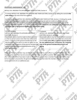## PROPOSED AMENDMENT 10:

ARTICLE VIII: ARIZONA PTA OFFICERS AND THEIR ELECTION, Section 4.

Jacques of

To amend ARTICLE VIII: ARIZONA PTA OFFICERS AND THEIR ELECTION, Section 4. by adding the words in the same office to the end of the first sentence.

And further amend ARTICLE VIII: ARIZONA PTA OFFICERS AND THEIR ELECTION, Section 4. Striking the words A majority of the general membership at the election meeting can vote to re-elect an officer to for one additional year. A quorum of the general membership along with written and printed notification of the election meeting is required. and inserting A person may be elected for one additional year, if necessary, by a majority vote of the general membership present and voting.

| <b>Current Wording:</b>                                 | If adopted                                           |
|---------------------------------------------------------|------------------------------------------------------|
| ARTICLE VIII: ARIZONA PTA OFFICERS AND THEIR            | ARTICLE VIII: ARIZONA PTA OFFICERS AND THEIR         |
| ELECTION, Section 4.                                    | ELECTION, Section 4. will read:                      |
| Reasonable efforts must be made to find a successor     | Reasonable efforts must be made to find a successor  |
| so that no person serves more than two consecutive      | so that no person serves more than two consecutive   |
| terms. A majority of the general membership at the      | terms in the same office. A person may be elected    |
| election meeting can vote to re-elect an officer to one | for one additional year, if necessary, by a majority |
| additional year. A quorum of the general membership     | vote of the general membership present and           |
| along with written and printed notification of the      | voting.                                              |
| meeting is required.                                    |                                                      |

Rationale: Though a member may serve more than two (2) terms as an officer in a local PTA/PTSA unit, they may not serve more than two (2) consecutive terms in the same officer position. This amendment clarifies that after reasonable efforts have been made to fill an officer position that a member has already held for two terms have been unsuccessful, the general membership may then elect the member who served the two consecutive terms for an additional year.

**B** one of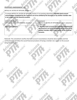## PROPOSED AMENDMENT 11:

ARTICLE IX: DUTIES OF OFFICERS, Section 4.

Click one work

Children over discree

**1965** 

To amend ARTICLE IX: DUTIES OF OFFICERS, Section 4. by inserting subsection f. Monthly bank account reconciliations completed by the Treasurer are to be verified by the Secretary or by another member who is not a signer on the financial accounts. 28

Long St

**Draw**son

**Algebrassics** 

Stoney of

| <b>Current Wording:</b>                    | If adopted                                              |
|--------------------------------------------|---------------------------------------------------------|
| ARTICLE IX: DUTIES OF OFFICERS, Section 4. | ARTICLE IX: DUTIES OF OFFICERS, Section 4. subsection   |
|                                            | f. will read:                                           |
| None- new addition                         | f. Monthly bank account reconciliations completed by    |
|                                            | the Treasurer are to be verified by the Secretary or by |
|                                            | another member who is not a signer on the financial     |
|                                            | accounts.                                               |
|                                            |                                                         |

Rationale: This amendment clarifies that bank account reconciliations should be done monthly and that verifications should follow the sound financial procedure of having a member not a signer on the account doing the verification.

**Jacobs** 

Childrene Role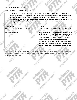#### PROPOSED AMENDMENT 12:

ARTICLE IX: DUTIES OF OFFICERS, Section 4.

**DEAMERS** 

**1996** 

a. To amend ARTICLE IX: DUTIES OF OFFICERS, Section 4. by inserting subsection g. The Secretary, if related by blood or marriage, or a residing in the same household as the Treasurer, may not verify the monthly bank account reconciliations. Another member who is not a signer on any of the financial accounts and not related by blood or marriage, or a residing in the same household as the Treasurer shall be appointed by the Executive Board to review the monthly bank account reconciliations.

Long St

**D-one-dou** 

| <b>Current Wording:</b>                    | If adopted                                              |
|--------------------------------------------|---------------------------------------------------------|
| ARTICLE IX: DUTIES OF OFFICERS, Section 4. | ARTICLE IX: DUTIES OF OFFICERS, Section 4. subsection   |
|                                            | g. will read:                                           |
| None-new addition                          | g. The Secretary, if related by blood or marriage, or a |
|                                            | residing in the same household as the Treasurer, may    |
|                                            | not verify the monthly bank account reconciliations.    |
|                                            | Another member who is not a signer on any of the        |
|                                            | financial accounts and not related by blood or          |
|                                            | marriage, or a residing in the same household as the    |
|                                            | Treasurer shall be appointed by the Executive Board     |
|                                            | to review the monthly bank account reconciliations.     |
|                                            |                                                         |

Rationale: This amendment ensures that bank account reconciliations are done, following the sound financial<br>procedure of having a member who is a neutral party as well as not a signer on the account reviewing the<br>monthly b procedure of having a member who is a neutral party as well as not a signer on the account reviewing the monthly bank reconciliations.

Collage of Cancer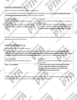#### PROPOSED AMENDMENT 13:

- 18

ARTICLE IX: DUTIES OF OFFICERS, Section 5, subsection f.

To amend ARTICLE IX: DUTIES OF OFFICERS, Section 5. subsection f. by inserting and at all Executive Board and general membership meetings. at the end of the sentence.

| <b>Current Wording:</b>                            | If adopted                                              |
|----------------------------------------------------|---------------------------------------------------------|
| ARTICLE IX: DUTIES OF OFFICERS, Section 5.         | ARTICLE IX: DUTIES OF OFFICERS, Section 5. subsection   |
| subsection f.                                      | $f.$ will read:                                         |
| Make a full Treasurer's report at the meeting at   | Make a full Treasurer's report at the meeting at which  |
| which new officers officially assume their duties; | new officers officially assume their duties and at all  |
| and                                                | <b>Executive Board and general membership meetings.</b> |
|                                                    |                                                         |
|                                                    |                                                         |

Rationale: This amendment clarifies that full Treasurer's reports need to be presented by the Treasurer at all meetings of the local PTA/PTSA unit.

## PROPOSED AMENDMENT 14:

ARTICLE IX: DUTIES OF OFFICERS, Section 5.

To amend ARTICLE IX: DUTIES OF OFFICERS, Section 5. by inserting a new subsection g. Ensure that the accounts of the local PTA/PTSA unit are reconciled monthly and reviewed by a member that is not a signer on any of the local PTA/PTSA unit financial accounts. And to re-number the subsequent subsections.

| <b>Current Wording:</b>                    | If adopted                                            |
|--------------------------------------------|-------------------------------------------------------|
| ARTICLE IX: DUTIES OF OFFICERS, Section 5. | ARTICLE IX: DUTIES OF OFFICERS, Section 5. subsection |
|                                            | g. will read:                                         |
| None $-$ new addition                      | g. Ensure that the accounts of the local PTA/PTSA     |
|                                            | unit are reconciled monthly and reviewed by a         |
|                                            | member that is not a signer on any of the local       |
|                                            | PTA/PTSA unit financial accounts.                     |
|                                            |                                                       |

Rationale: This amendment clarifies that the Treasurer needs to be sure the local PTA/PTSA unit accounts are reviewed monthly by a member who is not a signer on any financial accounts.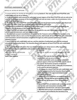#### PROPOSED AMENDMENT 15:

#### ARTICLE IX: DUTIES OF OFFICERS

To amend ARTICLE IX: DUTIES OF OFFICERS by inserting Section 9. The rules for this local PTA/PTSA units credit/debit card use are as follows:

a. Credit cards/debit cards secured for authorized account signers of the local PTA/PTSA unit are only to be used for the business purposes of this local PTA/PTSA unit and are never, under any circumstances, to be used for personal expenses.

b. All charges to a local PTA/PTSA unit credit/debit card must be preapproved by the Executive Board and fit within the limits of the approved/adopted local PTA/PTSA unit budget.

c. Following a local PTA/PTSA unit debit/credit card purchase, a receipt shall be given promptly to the Treasurer and the purpose of the charge shall be noted.

d. Local PTA/PTSA unit debit/credit cards may not be used for any cash transactions including ATM withdrawals and electronic cash back opportunities.

e. Monthly bank account reconciliations completed by the Treasurer and verified by the Secretary or by another member who is a not a on the financial accounts, shall include all local PTA/PTSA unit credit/debit card transactions and all transactions completed through any online payment platforms or mobile payment services.

f. Local PTA/PTSA unit credit/debit card use, and the selection of authorized users shall be reviewed annually by the Executive Board. The Executive Board shall approve all local PTA/PTSA unit credit/debit card users.

g. The Executive Board will ensure that any debit/credit card user whose term in office has ended, surrenders any issued credit/debit cards to them at the end of their term.

Current Wording: ARTICLE IX: DUTIES OF OFFICERS Section 1-Section 8

If adopted ARTICLE IX: DUTIES OF OFFICERS, Section 9. will read:

None - new addition Section 9. The rules for this local PTA/PTSA units credit/debit card use are as follows: a. Credit cards/debit cards secured for authorized account signers of the local PTA/PTSA unit are only to be used for the business purposes of this local PTA/PTSA unit and are never, under any circumstances, to be used for personal expenses.

> b. All charges to a local PTA/PTSA unit credit/debit card must be preapproved by the Executive Board and fit within the limits of the approved/adopted local PTA/PTSA unit budget.

c. Following a local PTA/PTSA unit debit/credit card purchase, a receipt shall be given promptly to the Treasurer and the purpose of the charge shall be noted.

d. Local PTA/PTSA unit debit/credit cards may not be used for any cash transactions including ATM withdrawals and electronic cash back opportunities. e. Monthly bank account reconciliations completed by the Treasurer and verified by the Secretary or by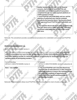

another member who is a not a on the financial accounts, shall include all local PTA/PTSA unit credit/debit card transactions and all transactions completed through any online payment platforms or mobile payment services.

f. Local PTA/PTSA unit credit/debit card use, and the selection of authorized users shall be reviewed annually by the Executive Board. The Executive Board shall approve all local PTA/PTSA unit credit/debit card users.

g. The Executive Board will ensure that any debit/credit card user whose term in office has ended, surrenders any issued credit/debit cards to them at the end of their term.

Rationale: This amendment provides sound financial procedures for credit/debit card use by local PTA/PTSA units.

# PROPOSED AMENDMENT 16:

ARTICLE X: EXECUTIVE BOARD, Section 4.

To amend ARTICLE X: EXECUTIVE BOARD, Section 4. by inserting a new subsection d. This local PTA/PTSA unit's Executive Board may meet virtually via teleconference or other electronic technology platforms so long as the meetings provide at a minimum, conditions of opportunity for simultaneous hearing and speaking among all participating members.

| Current Wording:                       | If adopted                                                                                                                                                                                                                                                                                 |
|----------------------------------------|--------------------------------------------------------------------------------------------------------------------------------------------------------------------------------------------------------------------------------------------------------------------------------------------|
| ARTICLE X: EXECUTIVE BOARD, Section 4. | ARTICLE X: EXECUTIVE BOARD, Section 4. subsection d.                                                                                                                                                                                                                                       |
|                                        | will read:                                                                                                                                                                                                                                                                                 |
| None - new addition                    | d. This local PTA/PTSA unit's Executive Board may<br>meet virtually via teleconference or other electronic<br>technology platforms so long as the meetings provide<br>at a minimum, conditions of opportunity for<br>simultaneous hearing and speaking among all<br>participating members. |

Rationale: This amendment allows local PTA/PTSA units Executive Board to meet virtually as necessary.